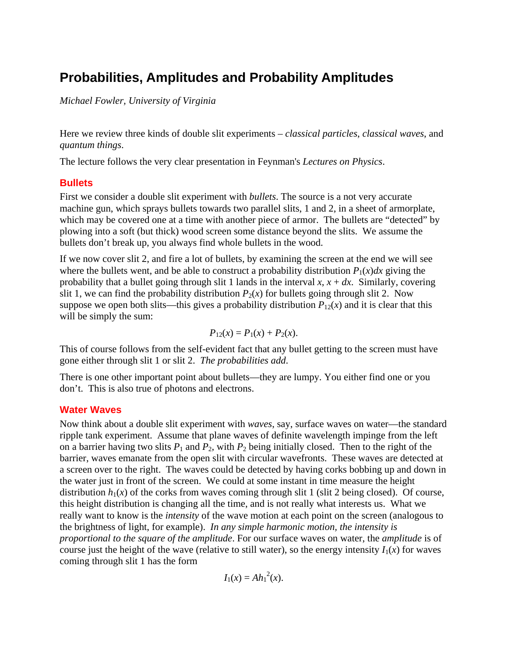# **Probabilities, Amplitudes and Probability Amplitudes**

*Michael Fowler, University of Virginia* 

Here we review three kinds of double slit experiments – *classical particles*, *classical waves*, and *quantum things*.

The lecture follows the very clear presentation in Feynman's *Lectures on Physics*.

### **Bullets**

First we consider a double slit experiment with *bullets*. The source is a not very accurate machine gun, which sprays bullets towards two parallel slits, 1 and 2, in a sheet of armorplate, which may be covered one at a time with another piece of armor. The bullets are "detected" by plowing into a soft (but thick) wood screen some distance beyond the slits. We assume the bullets don't break up, you always find whole bullets in the wood.

If we now cover slit 2, and fire a lot of bullets, by examining the screen at the end we will see where the bullets went, and be able to construct a probability distribution  $P_1(x)dx$  giving the probability that a bullet going through slit 1 lands in the interval  $x$ ,  $x + dx$ . Similarly, covering slit 1, we can find the probability distribution  $P_2(x)$  for bullets going through slit 2. Now suppose we open both slits—this gives a probability distribution  $P_{12}(x)$  and it is clear that this will be simply the sum:

$$
P_{12}(x) = P_1(x) + P_2(x).
$$

This of course follows from the self-evident fact that any bullet getting to the screen must have gone either through slit 1 or slit 2. *The probabilities add*.

There is one other important point about bullets—they are lumpy. You either find one or you don't. This is also true of photons and electrons.

#### **Water Waves**

Now think about a double slit experiment with *waves*, say, surface waves on water—the standard ripple tank experiment. Assume that plane waves of definite wavelength impinge from the left on a barrier having two slits  $P_1$  and  $P_2$ , with  $P_2$  being initially closed. Then to the right of the barrier, waves emanate from the open slit with circular wavefronts. These waves are detected at a screen over to the right. The waves could be detected by having corks bobbing up and down in the water just in front of the screen. We could at some instant in time measure the height distribution  $h_1(x)$  of the corks from waves coming through slit 1 (slit 2 being closed). Of course, this height distribution is changing all the time, and is not really what interests us. What we really want to know is the *intensity* of the wave motion at each point on the screen (analogous to the brightness of light, for example). *In any simple harmonic motion, the intensity is proportional to the square of the amplitude*. For our surface waves on water, the *amplitude* is of course just the height of the wave (relative to still water), so the energy intensity  $I_1(x)$  for waves coming through slit 1 has the form

$$
I_1(x) = Ah_1^2(x).
$$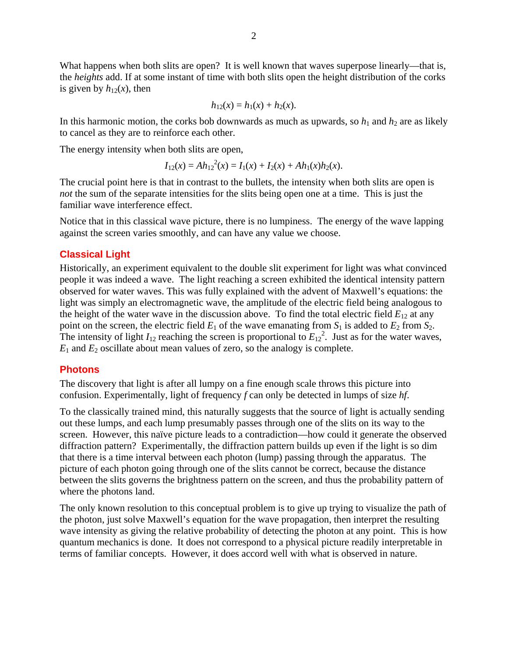What happens when both slits are open? It is well known that waves superpose linearly—that is, the *heights* add. If at some instant of time with both slits open the height distribution of the corks is given by  $h_{12}(x)$ , then

$$
h_{12}(x) = h_1(x) + h_2(x).
$$

In this harmonic motion, the corks bob downwards as much as upwards, so  $h_1$  and  $h_2$  are as likely to cancel as they are to reinforce each other.

The energy intensity when both slits are open,

$$
I_{12}(x) = Ah_{12}^{2}(x) = I_1(x) + I_2(x) + Ah_1(x)h_2(x).
$$

The crucial point here is that in contrast to the bullets, the intensity when both slits are open is *not* the sum of the separate intensities for the slits being open one at a time. This is just the familiar wave interference effect.

Notice that in this classical wave picture, there is no lumpiness. The energy of the wave lapping against the screen varies smoothly, and can have any value we choose.

#### **Classical Light**

Historically, an experiment equivalent to the double slit experiment for light was what convinced people it was indeed a wave. The light reaching a screen exhibited the identical intensity pattern observed for water waves. This was fully explained with the advent of Maxwell's equations: the light was simply an electromagnetic wave, the amplitude of the electric field being analogous to the height of the water wave in the discussion above. To find the total electric field  $E_{12}$  at any point on the screen, the electric field  $E_1$  of the wave emanating from  $S_1$  is added to  $E_2$  from  $S_2$ . The intensity of light  $I_{12}$  reaching the screen is proportional to  $E_{12}^2$ . Just as for the water waves,  $E_1$  and  $E_2$  oscillate about mean values of zero, so the analogy is complete.

#### **Photons**

The discovery that light is after all lumpy on a fine enough scale throws this picture into confusion. Experimentally, light of frequency *f* can only be detected in lumps of size *hf*.

To the classically trained mind, this naturally suggests that the source of light is actually sending out these lumps, and each lump presumably passes through one of the slits on its way to the screen. However, this naïve picture leads to a contradiction—how could it generate the observed diffraction pattern? Experimentally, the diffraction pattern builds up even if the light is so dim that there is a time interval between each photon (lump) passing through the apparatus. The picture of each photon going through one of the slits cannot be correct, because the distance between the slits governs the brightness pattern on the screen, and thus the probability pattern of where the photons land.

The only known resolution to this conceptual problem is to give up trying to visualize the path of the photon, just solve Maxwell's equation for the wave propagation, then interpret the resulting wave intensity as giving the relative probability of detecting the photon at any point. This is how quantum mechanics is done. It does not correspond to a physical picture readily interpretable in terms of familiar concepts. However, it does accord well with what is observed in nature.